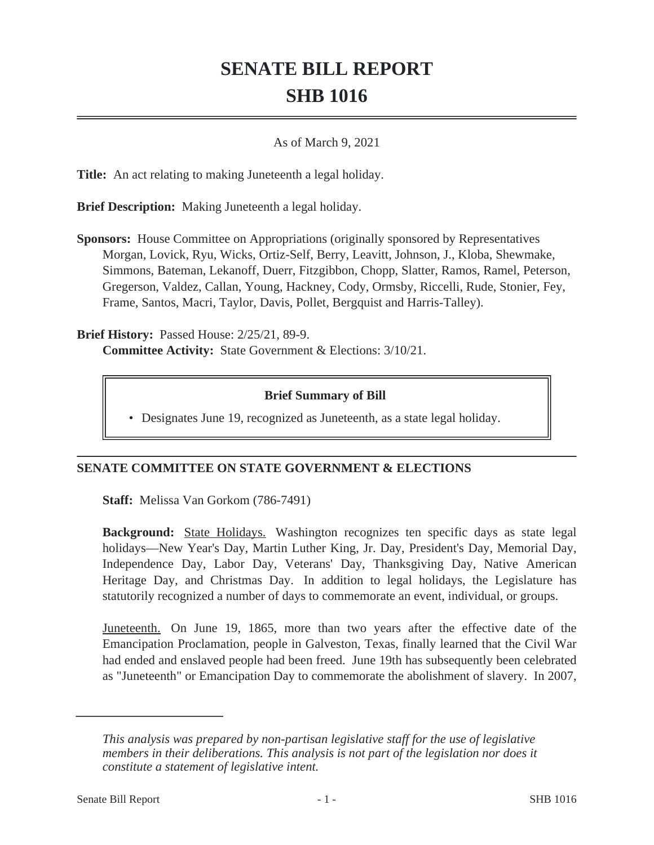# **SENATE BILL REPORT SHB 1016**

#### As of March 9, 2021

**Title:** An act relating to making Juneteenth a legal holiday.

**Brief Description:** Making Juneteenth a legal holiday.

**Sponsors:** House Committee on Appropriations (originally sponsored by Representatives Morgan, Lovick, Ryu, Wicks, Ortiz-Self, Berry, Leavitt, Johnson, J., Kloba, Shewmake, Simmons, Bateman, Lekanoff, Duerr, Fitzgibbon, Chopp, Slatter, Ramos, Ramel, Peterson, Gregerson, Valdez, Callan, Young, Hackney, Cody, Ormsby, Riccelli, Rude, Stonier, Fey, Frame, Santos, Macri, Taylor, Davis, Pollet, Bergquist and Harris-Talley).

**Brief History:** Passed House: 2/25/21, 89-9. **Committee Activity:** State Government & Elections: 3/10/21.

### **Brief Summary of Bill**

• Designates June 19, recognized as Juneteenth, as a state legal holiday.

### **SENATE COMMITTEE ON STATE GOVERNMENT & ELECTIONS**

**Staff:** Melissa Van Gorkom (786-7491)

**Background:** State Holidays. Washington recognizes ten specific days as state legal holidays—New Year's Day, Martin Luther King, Jr. Day, President's Day, Memorial Day, Independence Day, Labor Day, Veterans' Day, Thanksgiving Day, Native American Heritage Day, and Christmas Day. In addition to legal holidays, the Legislature has statutorily recognized a number of days to commemorate an event, individual, or groups.

Juneteenth. On June 19, 1865, more than two years after the effective date of the Emancipation Proclamation, people in Galveston, Texas, finally learned that the Civil War had ended and enslaved people had been freed. June 19th has subsequently been celebrated as "Juneteenth" or Emancipation Day to commemorate the abolishment of slavery. In 2007,

*This analysis was prepared by non-partisan legislative staff for the use of legislative members in their deliberations. This analysis is not part of the legislation nor does it constitute a statement of legislative intent.*